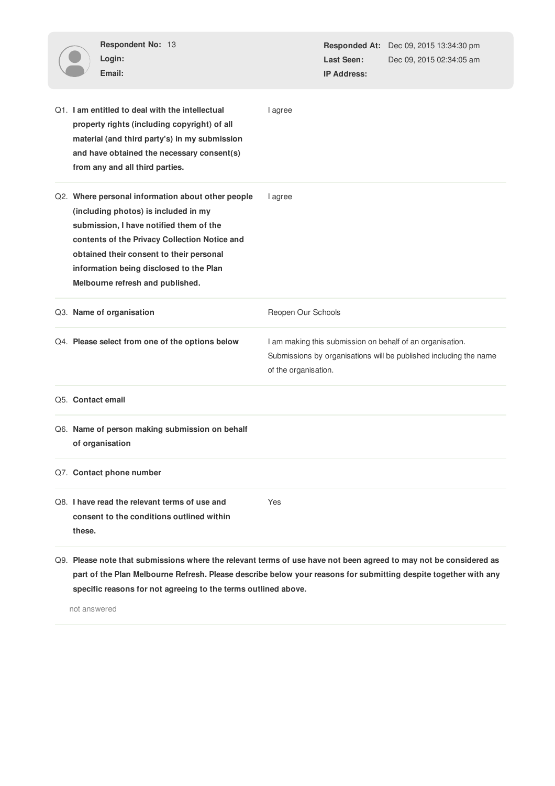| Respondent No: 13<br>Login:<br>Email:                                                                                                                                                                                                                                                                            |                    | Last Seen:<br><b>IP Address:</b>                                                                                                                       | Responded At: Dec 09, 2015 13:34:30 pm<br>Dec 09, 2015 02:34:05 am |  |
|------------------------------------------------------------------------------------------------------------------------------------------------------------------------------------------------------------------------------------------------------------------------------------------------------------------|--------------------|--------------------------------------------------------------------------------------------------------------------------------------------------------|--------------------------------------------------------------------|--|
| Q1. I am entitled to deal with the intellectual<br>property rights (including copyright) of all<br>material (and third party's) in my submission<br>and have obtained the necessary consent(s)<br>from any and all third parties.                                                                                | I agree            |                                                                                                                                                        |                                                                    |  |
| Q2. Where personal information about other people<br>(including photos) is included in my<br>submission, I have notified them of the<br>contents of the Privacy Collection Notice and<br>obtained their consent to their personal<br>information being disclosed to the Plan<br>Melbourne refresh and published. | I agree            |                                                                                                                                                        |                                                                    |  |
| Q3. Name of organisation                                                                                                                                                                                                                                                                                         | Reopen Our Schools |                                                                                                                                                        |                                                                    |  |
| Q4. Please select from one of the options below                                                                                                                                                                                                                                                                  |                    | I am making this submission on behalf of an organisation.<br>Submissions by organisations will be published including the name<br>of the organisation. |                                                                    |  |
| Q5. Contact email                                                                                                                                                                                                                                                                                                |                    |                                                                                                                                                        |                                                                    |  |
| Q6. Name of person making submission on behalf<br>of organisation                                                                                                                                                                                                                                                |                    |                                                                                                                                                        |                                                                    |  |
| Q7. Contact phone number                                                                                                                                                                                                                                                                                         |                    |                                                                                                                                                        |                                                                    |  |
| Q8. I have read the relevant terms of use and<br>consent to the conditions outlined within<br>these.                                                                                                                                                                                                             | Yes                |                                                                                                                                                        |                                                                    |  |
| Q9. Please note that submissions where the relevant terms of use have not been agreed to may not be considered as<br>part of the Plan Melbourne Refresh. Please describe below your reasons for submitting despite together with any                                                                             |                    |                                                                                                                                                        |                                                                    |  |

**specific reasons for not agreeing to the terms outlined above.**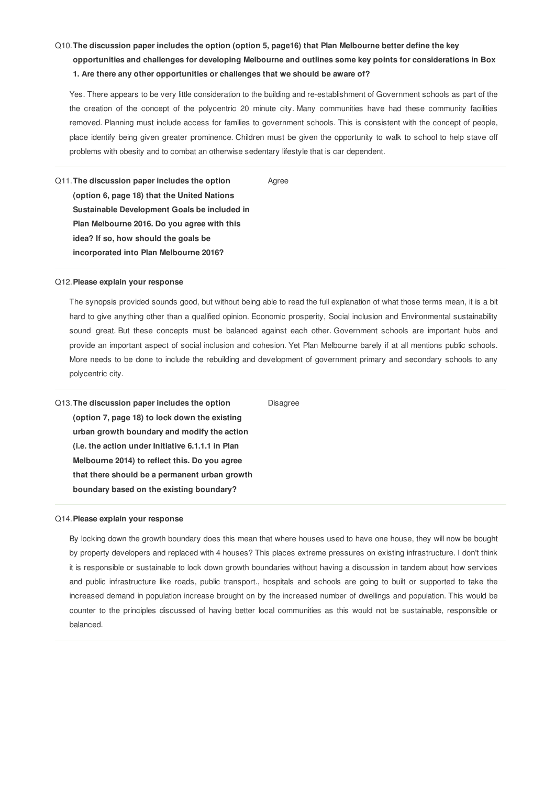# Q10.**The discussion paper includes the option (option 5, page16) that Plan Melbourne better define the key opportunities and challenges for developing Melbourne and outlines some key points for considerations in Box 1. Are there any other opportunities or challenges that we should be aware of?**

Yes. There appears to be very little consideration to the building and re-establishment of Government schools as part of the the creation of the concept of the polycentric 20 minute city. Many communities have had these community facilities removed. Planning must include access for families to government schools. This is consistent with the concept of people, place identify being given greater prominence. Children must be given the opportunity to walk to school to help stave off problems with obesity and to combat an otherwise sedentary lifestyle that is car dependent.

Agree

Q11.**The discussion paper includes the option (option 6, page 18) that the United Nations Sustainable Development Goals be included in Plan Melbourne 2016. Do you agree with this idea? If so, how should the goals be incorporated into Plan Melbourne 2016?**

## Q12.**Please explain your response**

The synopsis provided sounds good, but without being able to read the full explanation of what those terms mean, it is a bit hard to give anything other than a qualified opinion. Economic prosperity, Social inclusion and Environmental sustainability sound great. But these concepts must be balanced against each other. Government schools are important hubs and provide an important aspect of social inclusion and cohesion. Yet Plan Melbourne barely if at all mentions public schools. More needs to be done to include the rebuilding and development of government primary and secondary schools to any polycentric city.

Q13.**The discussion paper includes the option (option 7, page 18) to lock down the existing urban growth boundary and modify the action (i.e. the action under Initiative 6.1.1.1 in Plan Melbourne 2014) to reflect this. Do you agree that there should be a permanent urban growth boundary based on the existing boundary?** Disagree

## Q14.**Please explain your response**

By locking down the growth boundary does this mean that where houses used to have one house, they will now be bought by property developers and replaced with 4 houses? This places extreme pressures on existing infrastructure. I don't think it is responsible or sustainable to lock down growth boundaries without having a discussion in tandem about how services and public infrastructure like roads, public transport., hospitals and schools are going to built or supported to take the increased demand in population increase brought on by the increased number of dwellings and population. This would be counter to the principles discussed of having better local communities as this would not be sustainable, responsible or balanced.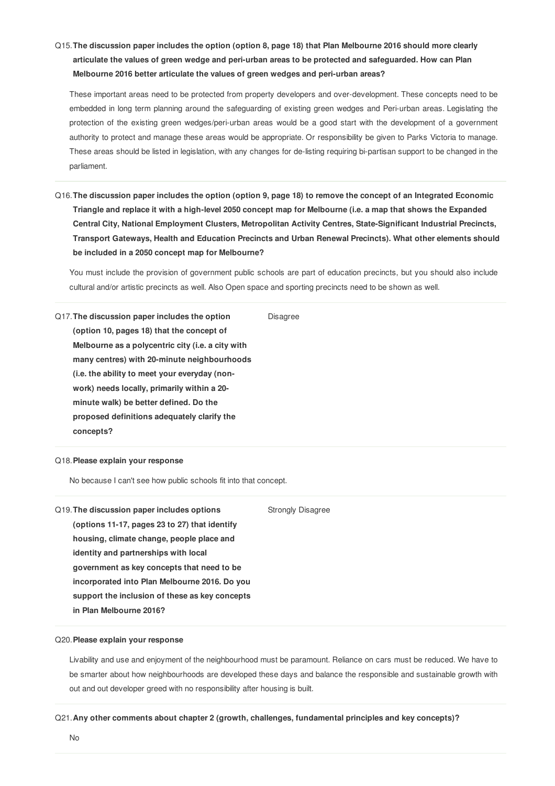# Q15. The discussion paper includes the option (option 8, page 18) that Plan Melbourne 2016 should more clearly **articulate the values of green wedge and peri-urban areas to be protected and safeguarded. How can Plan Melbourne 2016 better articulate the values of green wedges and peri-urban areas?**

These important areas need to be protected from property developers and over-development. These concepts need to be embedded in long term planning around the safeguarding of existing green wedges and Peri-urban areas. Legislating the protection of the existing green wedges/peri-urban areas would be a good start with the development of a government authority to protect and manage these areas would be appropriate. Or responsibility be given to Parks Victoria to manage. These areas should be listed in legislation, with any changes for de-listing requiring bi-partisan support to be changed in the parliament.

Q16. The discussion paper includes the option (option 9, page 18) to remove the concept of an Integrated Economic Triangle and replace it with a high-level 2050 concept map for Melbourne (i.e. a map that shows the Expanded **Central City, National Employment Clusters, Metropolitan Activity Centres, State-Significant Industrial Precincts, Transport Gateways, Health and Education Precincts and Urban Renewal Precincts). What other elements should be included in a 2050 concept map for Melbourne?**

You must include the provision of government public schools are part of education precincts, but you should also include cultural and/or artistic precincts as well. Also Open space and sporting precincts need to be shown as well.

Disagree

Q17.**The discussion paper includes the option (option 10, pages 18) that the concept of Melbourne as a polycentric city (i.e. a city with many centres) with 20-minute neighbourhoods (i.e. the ability to meet your everyday (nonwork) needs locally, primarily within a 20 minute walk) be better defined. Do the proposed definitions adequately clarify the concepts?**

#### Q18.**Please explain your response**

No because I can't see how public schools fit into that concept.

Q19.**The discussion paper includes options (options 11-17, pages 23 to 27) that identify housing, climate change, people place and identity and partnerships with local government as key concepts that need to be incorporated into Plan Melbourne 2016. Do you support the inclusion of these as key concepts in Plan Melbourne 2016?** Strongly Disagree

## Q20.**Please explain your response**

Livability and use and enjoyment of the neighbourhood must be paramount. Reliance on cars must be reduced. We have to be smarter about how neighbourhoods are developed these days and balance the responsible and sustainable growth with out and out developer greed with no responsibility after housing is built.

# Q21.**Any other comments about chapter 2 (growth, challenges, fundamental principles and key concepts)?**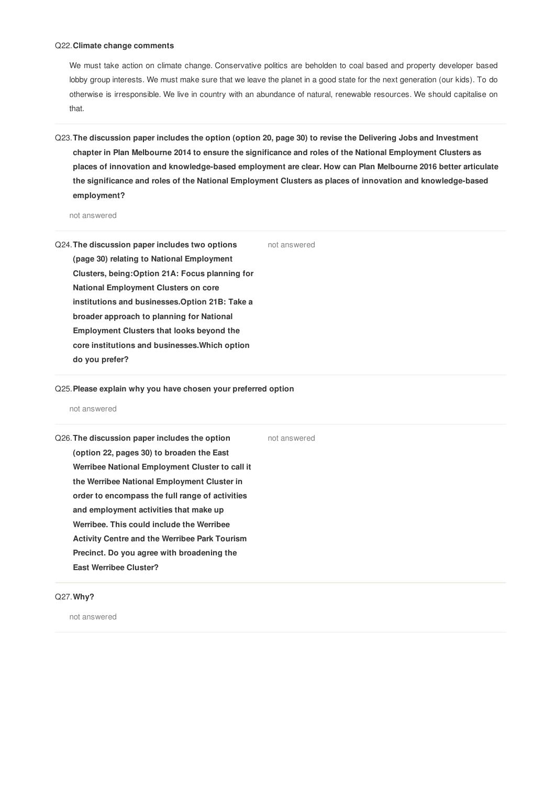#### Q22.**Climate change comments**

We must take action on climate change. Conservative politics are beholden to coal based and property developer based lobby group interests. We must make sure that we leave the planet in a good state for the next generation (our kids). To do otherwise is irresponsible. We live in country with an abundance of natural, renewable resources. We should capitalise on that.

Q23. The discussion paper includes the option (option 20, page 30) to revise the Delivering Jobs and Investment chapter in Plan Melbourne 2014 to ensure the significance and roles of the National Employment Clusters as **places of innovation and knowledge-based employment are clear. How can Plan Melbourne 2016 better articulate the significance and roles of the National Employment Clusters as places of innovation and knowledge-based employment?**

not answered

- Q24.**The discussion paper includes two options (page 30) relating to National Employment Clusters, being:Option 21A: Focus planning for National Employment Clusters on core institutions and businesses.Option 21B: Take a broader approach to planning for National Employment Clusters that looks beyond the core institutions and businesses.Which option do you prefer?** not answered
- Q25.**Please explain why you have chosen your preferred option**

#### not answered

| Q26. The discussion paper includes the option        | not answered |
|------------------------------------------------------|--------------|
| (option 22, pages 30) to broaden the East            |              |
| Werribee National Employment Cluster to call it      |              |
| the Werribee National Employment Cluster in          |              |
| order to encompass the full range of activities      |              |
| and employment activities that make up               |              |
| Werribee. This could include the Werribee            |              |
| <b>Activity Centre and the Werribee Park Tourism</b> |              |
| Precinct. Do you agree with broadening the           |              |
| <b>East Werribee Cluster?</b>                        |              |
|                                                      |              |

# Q27.**Why?**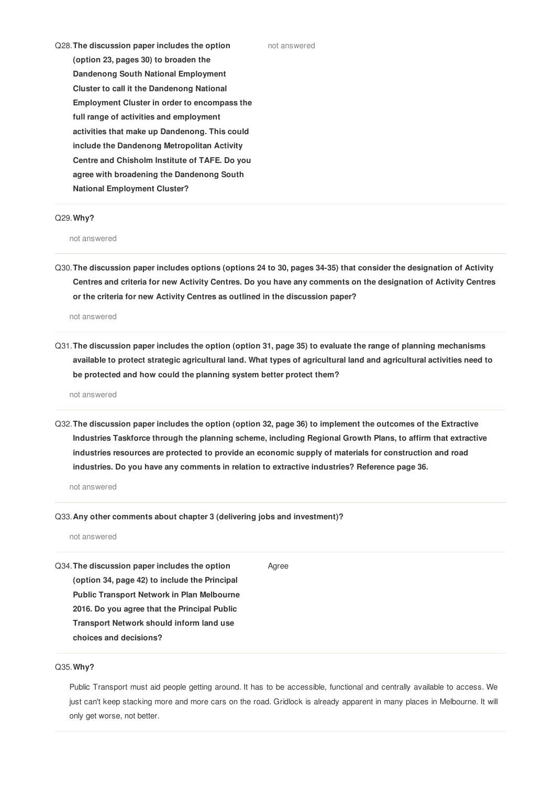Q28.**The discussion paper includes the option (option 23, pages 30) to broaden the Dandenong South National Employment Cluster to call it the Dandenong National Employment Cluster in order to encompass the full range of activities and employment activities that make up Dandenong. This could include the Dandenong Metropolitan Activity Centre and Chisholm Institute of TAFE. Do you agree with broadening the Dandenong South National Employment Cluster?**

#### Q29.**Why?**

not answered

Q30. The discussion paper includes options (options 24 to 30, pages 34-35) that consider the designation of Activity Centres and criteria for new Activity Centres. Do you have any comments on the designation of Activity Centres **or the criteria for new Activity Centres as outlined in the discussion paper?**

not answered

Q31. The discussion paper includes the option (option 31, page 35) to evaluate the range of planning mechanisms available to protect strategic agricultural land. What types of agricultural land and agricultural activities need to **be protected and how could the planning system better protect them?**

not answered

Q32. The discussion paper includes the option (option 32, page 36) to implement the outcomes of the Extractive **Industries Taskforce through the planning scheme, including Regional Growth Plans, to affirm that extractive industries resources are protected to provide an economic supply of materials for construction and road industries. Do you have any comments in relation to extractive industries? Reference page 36.**

not answered

Q33.**Any other comments about chapter 3 (delivering jobs and investment)?**

not answered

Q34.**The discussion paper includes the option (option 34, page 42) to include the Principal Public Transport Network in Plan Melbourne 2016. Do you agree that the Principal Public Transport Network should inform land use choices and decisions?** Agree

### Q35.**Why?**

Public Transport must aid people getting around. It has to be accessible, functional and centrally available to access. We just can't keep stacking more and more cars on the road. Gridlock is already apparent in many places in Melbourne. It will only get worse, not better.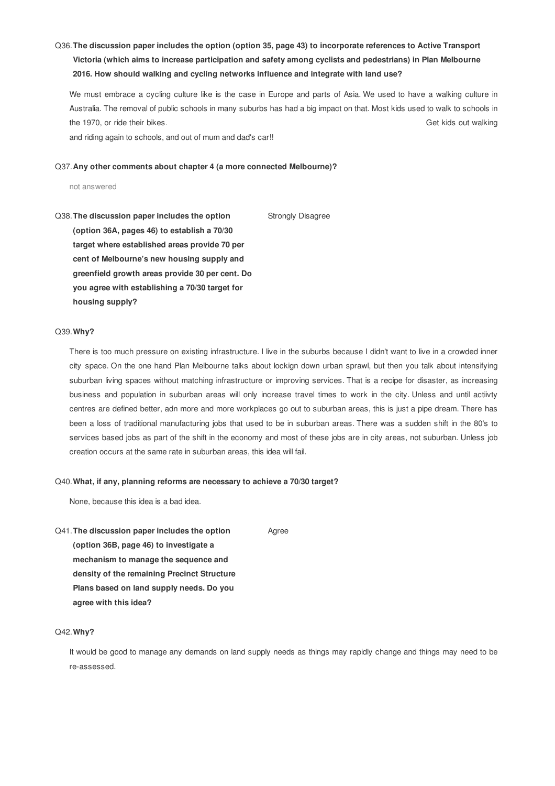# Q36.**The discussion paper includes the option (option 35, page 43) to incorporate references to Active Transport Victoria (which aims to increase participation and safety among cyclists and pedestrians) in Plan Melbourne 2016. How should walking and cycling networks influence and integrate with land use?**

We must embrace a cycling culture like is the case in Europe and parts of Asia. We used to have a walking culture in Australia. The removal of public schools in many suburbs has had a big impact on that. Most kids used to walk to schools in the 1970, or ride their bikes. Get kids out walking

and riding again to schools, and out of mum and dad's car!!

#### Q37.**Any other comments about chapter 4 (a more connected Melbourne)?**

not answered

Q38.**The discussion paper includes the option (option 36A, pages 46) to establish a 70/30 target where established areas provide 70 per cent of Melbourne's new housing supply and greenfield growth areas provide 30 per cent. Do you agree with establishing a 70/30 target for housing supply?** Strongly Disagree

## Q39.**Why?**

There is too much pressure on existing infrastructure. I live in the suburbs because I didn't want to live in a crowded inner city space. On the one hand Plan Melbourne talks about lockign down urban sprawl, but then you talk about intensifying suburban living spaces without matching infrastructure or improving services. That is a recipe for disaster, as increasing business and population in suburban areas will only increase travel times to work in the city. Unless and until actiivty centres are defined better, adn more and more workplaces go out to suburban areas, this is just a pipe dream. There has been a loss of traditional manufacturing jobs that used to be in suburban areas. There was a sudden shift in the 80's to services based jobs as part of the shift in the economy and most of these jobs are in city areas, not suburban. Unless job creation occurs at the same rate in suburban areas, this idea will fail.

#### Q40.**What, if any, planning reforms are necessary to achieve a 70/30 target?**

None, because this idea is a bad idea.

Q41.**The discussion paper includes the option (option 36B, page 46) to investigate a mechanism to manage the sequence and density of the remaining Precinct Structure Plans based on land supply needs. Do you** Agree

**agree with this idea?**

# Q42.**Why?**

It would be good to manage any demands on land supply needs as things may rapidly change and things may need to be re-assessed.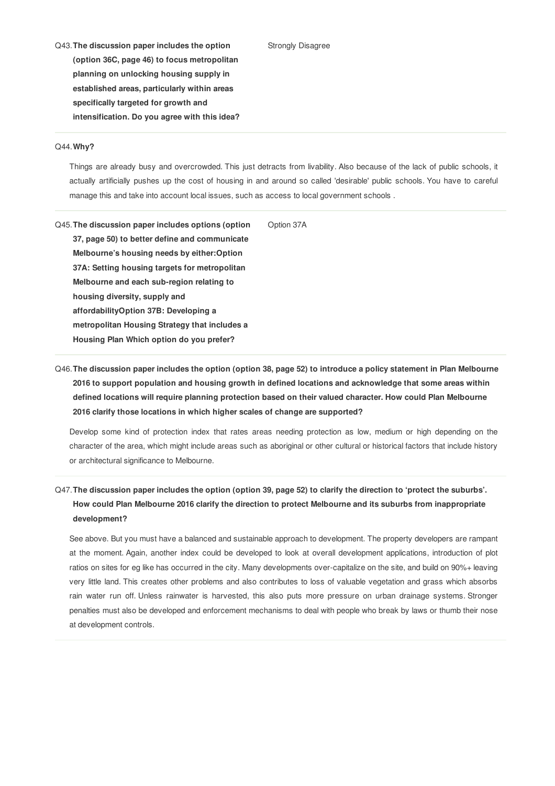- Strongly Disagree
- Q43.**The discussion paper includes the option (option 36C, page 46) to focus metropolitan planning on unlocking housing supply in established areas, particularly within areas specifically targeted for growth and intensification. Do you agree with this idea?**

#### Q44.**Why?**

Things are already busy and overcrowded. This just detracts from livability. Also because of the lack of public schools, it actually artificially pushes up the cost of housing in and around so called 'desirable' public schools. You have to careful manage this and take into account local issues, such as access to local government schools .

Q45.**The discussion paper includes options (option 37, page 50) to better define and communicate Melbourne's housing needs by either:Option 37A: Setting housing targets for metropolitan Melbourne and each sub-region relating to housing diversity, supply and affordabilityOption 37B: Developing a metropolitan Housing Strategy that includes a Housing Plan Which option do you prefer?** Option 37A

# Q46. The discussion paper includes the option (option 38, page 52) to introduce a policy statement in Plan Melbourne **2016 to support population and housing growth in defined locations and acknowledge that some areas within defined locations will require planning protection based on their valued character. How could Plan Melbourne 2016 clarify those locations in which higher scales of change are supported?**

Develop some kind of protection index that rates areas needing protection as low, medium or high depending on the character of the area, which might include areas such as aboriginal or other cultural or historical factors that include history or architectural significance to Melbourne.

# Q47. The discussion paper includes the option (option 39, page 52) to clarify the direction to 'protect the suburbs'. **How could Plan Melbourne 2016 clarify the direction to protect Melbourne and its suburbs from inappropriate development?**

See above. But you must have a balanced and sustainable approach to development. The property developers are rampant at the moment. Again, another index could be developed to look at overall development applications, introduction of plot ratios on sites for eg like has occurred in the city. Many developments over-capitalize on the site, and build on 90%+ leaving very little land. This creates other problems and also contributes to loss of valuable vegetation and grass which absorbs rain water run off. Unless rainwater is harvested, this also puts more pressure on urban drainage systems. Stronger penalties must also be developed and enforcement mechanisms to deal with people who break by laws or thumb their nose at development controls.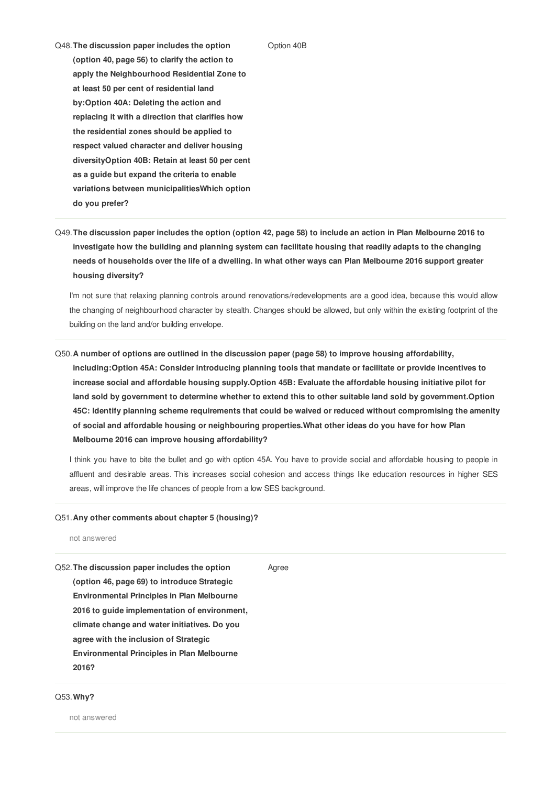#### Option 40B

Q48.**The discussion paper includes the option (option 40, page 56) to clarify the action to apply the Neighbourhood Residential Zone to at least 50 per cent of residential land by:Option 40A: Deleting the action and replacing it with a direction that clarifies how the residential zones should be applied to respect valued character and deliver housing diversityOption 40B: Retain at least 50 per cent as a guide but expand the criteria to enable variations between municipalitiesWhich option do you prefer?**

Q49. The discussion paper includes the option (option 42, page 58) to include an action in Plan Melbourne 2016 to **investigate how the building and planning system can facilitate housing that readily adapts to the changing** needs of households over the life of a dwelling. In what other ways can Plan Melbourne 2016 support greater **housing diversity?**

I'm not sure that relaxing planning controls around renovations/redevelopments are a good idea, because this would allow the changing of neighbourhood character by stealth. Changes should be allowed, but only within the existing footprint of the building on the land and/or building envelope.

Q50.**A number of options are outlined in the discussion paper (page 58) to improve housing affordability, including:Option 45A: Consider introducing planning tools that mandate or facilitate or provide incentives to increase social and affordable housing supply.Option 45B: Evaluate the affordable housing initiative pilot for** land sold by government to determine whether to extend this to other suitable land sold by government. Option **45C: Identify planning scheme requirements that could be waived or reduced without compromising the amenity of social and affordable housing or neighbouring properties.What other ideas do you have for how Plan Melbourne 2016 can improve housing affordability?**

I think you have to bite the bullet and go with option 45A. You have to provide social and affordable housing to people in affluent and desirable areas. This increases social cohesion and access things like education resources in higher SES areas, will improve the life chances of people from a low SES background.

## Q51.**Any other comments about chapter 5 (housing)?**

not answered

| Q52. The discussion paper includes the option     | Agree |
|---------------------------------------------------|-------|
| (option 46, page 69) to introduce Strategic       |       |
| <b>Environmental Principles in Plan Melbourne</b> |       |
| 2016 to guide implementation of environment,      |       |
| climate change and water initiatives. Do you      |       |
| agree with the inclusion of Strategic             |       |
| <b>Environmental Principles in Plan Melbourne</b> |       |
| 2016?                                             |       |
|                                                   |       |

## Q53.**Why?**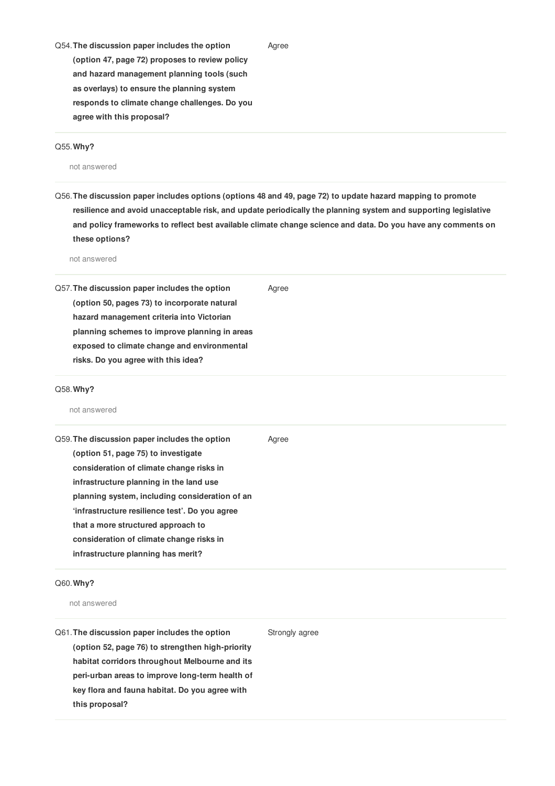Q54.**The discussion paper includes the option (option 47, page 72) proposes to review policy and hazard management planning tools (such as overlays) to ensure the planning system responds to climate change challenges. Do you agree with this proposal?**

## Q55.**Why?**

not answered

Q56. The discussion paper includes options (options 48 and 49, page 72) to update hazard mapping to promote **resilience and avoid unacceptable risk, and update periodically the planning system and supporting legislative** and policy frameworks to reflect best available climate change science and data. Do you have any comments on **these options?**

Agree

not answered

| Q57. The discussion paper includes the option<br>(option 50, pages 73) to incorporate natural<br>hazard management criteria into Victorian<br>planning schemes to improve planning in areas<br>exposed to climate change and environmental<br>risks. Do you agree with this idea?                                                                                                                       | Agree |
|---------------------------------------------------------------------------------------------------------------------------------------------------------------------------------------------------------------------------------------------------------------------------------------------------------------------------------------------------------------------------------------------------------|-------|
| Q58. Why?<br>not answered                                                                                                                                                                                                                                                                                                                                                                               |       |
| Q59. The discussion paper includes the option<br>(option 51, page 75) to investigate<br>consideration of climate change risks in<br>infrastructure planning in the land use<br>planning system, including consideration of an<br>'infrastructure resilience test'. Do you agree<br>that a more structured approach to<br>consideration of climate change risks in<br>infrastructure planning has merit? | Agree |

# Q60.**Why?**

not answered

Q61.**The discussion paper includes the option (option 52, page 76) to strengthen high-priority habitat corridors throughout Melbourne and its peri-urban areas to improve long-term health of key flora and fauna habitat. Do you agree with this proposal?** Strongly agree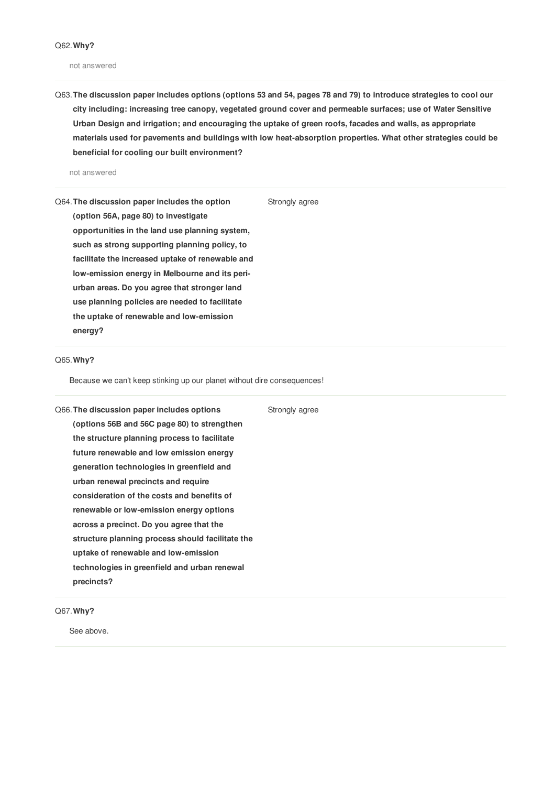not answered

Q63. The discussion paper includes options (options 53 and 54, pages 78 and 79) to introduce strategies to cool our **city including: increasing tree canopy, vegetated ground cover and permeable surfaces; use of Water Sensitive Urban Design and irrigation; and encouraging the uptake of green roofs, facades and walls, as appropriate materials used for pavements and buildings with low heat-absorption properties. What other strategies could be beneficial for cooling our built environment?**

Strongly agree

not answered

Q64.**The discussion paper includes the option (option 56A, page 80) to investigate opportunities in the land use planning system, such as strong supporting planning policy, to facilitate the increased uptake of renewable and low-emission energy in Melbourne and its periurban areas. Do you agree that stronger land use planning policies are needed to facilitate the uptake of renewable and low-emission energy?**

## Q65.**Why?**

Because we can't keep stinking up our planet without dire consequences!

Q66.**The discussion paper includes options (options 56B and 56C page 80) to strengthen the structure planning process to facilitate future renewable and low emission energy generation technologies in greenfield and urban renewal precincts and require consideration of the costs and benefits of renewable or low-emission energy options across a precinct. Do you agree that the structure planning process should facilitate the uptake of renewable and low-emission technologies in greenfield and urban renewal precincts?**

Q67.**Why?**

See above.

Strongly agree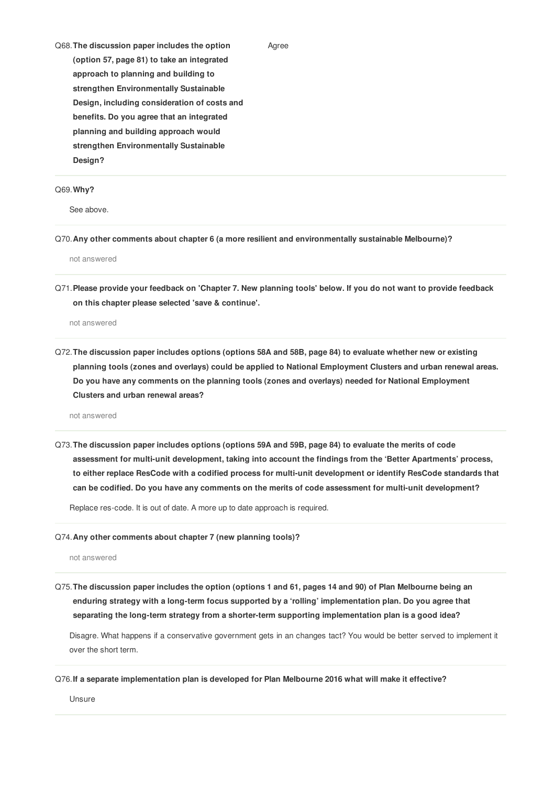Q68.**The discussion paper includes the option (option 57, page 81) to take an integrated approach to planning and building to strengthen Environmentally Sustainable Design, including consideration of costs and benefits. Do you agree that an integrated planning and building approach would strengthen Environmentally Sustainable Design?**

## Q69.**Why?**

See above.

Q70.**Any other comments about chapter 6 (a more resilient and environmentally sustainable Melbourne)?**

not answered

Q71. Please provide your feedback on 'Chapter 7. New planning tools' below. If you do not want to provide feedback **on this chapter please selected 'save & continue'.**

Agree

not answered

Q72. The discussion paper includes options (options 58A and 58B, page 84) to evaluate whether new or existing **planning tools (zones and overlays) could be applied to National Employment Clusters and urban renewal areas. Do you have any comments on the planning tools (zones and overlays) needed for National Employment Clusters and urban renewal areas?**

not answered

Q73.**The discussion paper includes options (options 59A and 59B, page 84) to evaluate the merits of code assessment for multi-unit development, taking into account the findings from the 'Better Apartments' process, to either replace ResCode with a codified process for multi-unit development or identify ResCode standards that can be codified. Do you have any comments on the merits of code assessment for multi-unit development?**

Replace res-code. It is out of date. A more up to date approach is required.

#### Q74.**Any other comments about chapter 7 (new planning tools)?**

not answered

Q75. The discussion paper includes the option (options 1 and 61, pages 14 and 90) of Plan Melbourne being an **enduring strategy with a long-term focus supported by a 'rolling' implementation plan. Do you agree that separating the long-term strategy from a shorter-term supporting implementation plan is a good idea?**

Disagre. What happens if a conservative government gets in an changes tact? You would be better served to implement it over the short term.

### Q76.**If a separate implementation plan is developed for Plan Melbourne 2016 what will make it effective?**

Unsure